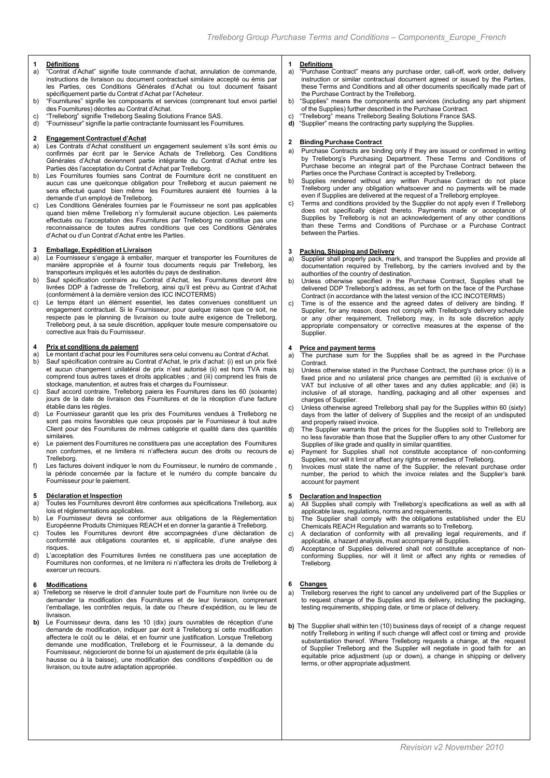### **1 Définitions**

- a) "Contrat d'Achat" signifie toute commande d'achat, annulation de commande, instructions de livraison ou document contractuel similaire accepté ou émis par les Parties, ces Conditions Générales d'Achat ou tout document faisant spécifiquement partie du Contrat d'Achat par l'Acheteur.
- b) "Fournitures" signifie les composants et services (comprenant tout envoi partiel des Fournitures) décrites au Contrat d'Achat.
- c) "Trelleborg" signifie Trelleborg Sealing Solutions France SAS.<br>d) "Fournisseur" signifie la partie contractante fournissant les Four
- "Fournisseur" signifie la partie contractante fournissant les Fournitures.

- **2 Engagement Contractuel d'Achat** a) Les Contrats d'Achat constituent un engagement seulement s'ils sont émis ou confirmés par écrit par le Service Achats de Trelleborg. Ces Conditions Générales d'Achat deviennent partie intégrante du Contrat d'Achat entre les Parties dès l'acceptation du Contrat d'Achat par Trelleborg.
- b) Les Fournitures fournies sans Contrat de Fourniture écrit ne constituent en aucun cas une quelconque obligation pour Trelleborg et aucun paiement ne sera effectué quand bien même les Fournitures auraient été fournies à la demande d'un employé de Trelleborg.
- c) Les Conditions Générales fournies par le Fournisseur ne sont pas applicables quand bien même Trelleborg n'y formulerait aucune objection. Les paiements effectués ou l'acceptation des Fournitures par Trelleborg ne constitue pas une reconnaissance de toutes autres conditions que ces Conditions Générales d'Achat ou d'un Contrat d'Achat entre les Parties.

## **3 Emballage, Expédition et Livraison**

- a) Le Fournisseur s'engage à emballer, marquer et transporter les Fournitures de manière appropriée et à fournir tous documents requis par Trelleborg, les transporteurs impliqués et les autorités du pays de destination.
- b) Sauf spécification contraire au Contrat d'Achat, les Fournitures devront être livrées DDP à l'adresse de Trelleborg, ainsi qu'il est prévu au Contrat d'Achat (conformément à la dernière version des ICC INCOTERMS)
- c) Le temps étant un élément essentiel, les dates convenues constituent un engagement contractuel. Si le Fournisseur, pour quelque raison que ce soit, ne respecte pas le planning de livraison ou toute autre exigence de Trelleborg, Trelleborg peut, à sa seule discrétion, appliquer toute mesure compensatoire ou corrective aux frais du Fournisseur.

### **4 Prix et conditions de paiement**

- a) Le montant d'achat pour les Fournitures sera celui convenu au Contrat d'Achat.
- b) Sauf spécification contraire au Contrat d'Achat, le prix d'achat: (i) est un prix fixé et aucun changement unilatéral de prix n'est autorisé (ii) est hors TVA mais comprend tous autres taxes et droits applicables ; and (iii) comprend les frais de stockage, manutention, et autres frais et charges du Fournisseur.
- c) Sauf accord contraire, Trelleborg paiera les Fournitures dans les 60 (soixante) jours de la date de livraison des Fournitures et de la réception d'une facture établie dans les règles.
- d) Le Fournisseur garantit que les prix des Fournitures vendues à Trelleborg ne sont pas moins favorables que ceux proposés par le Fournisseur à tout autre Client pour des Fournitures de mêmes catégorie et qualité dans des quantités similaires.
- e) Le paiement des Fournitures ne constituera pas une acceptation des Fournitures non conformes, et ne limitera ni n'affectera aucun des droits ou recours de Trelleborg.
- f) Les factures doivent indiquer le nom du Fournisseur, le numéro de commande , la période concernée par la facture et le numéro du compte bancaire du Fournisseur pour le paiement.

#### **5 Déclaration et Inspection**

- a) Toutes les Fournitures devront être conformes aux spécifications Trelleborg, aux lois et réglementations applicables.
- b) Le Fournisseur devra se conformer aux obligations de la Réglementation Européenne Produits Chimiques REACH et en donner la garantie à Trelleborg.
- c) Toutes les Fournitures devront être accompagnées d'une déclaration de conformité aux obligations courantes et, si applicable, d'une analyse des risques.
- d) L'acceptation des Fournitures livrées ne constituera pas une acceptation de Fournitures non conformes, et ne limitera ni n'affectera les droits de Trelleborg à exercer un recours.

#### **6 Modifications**

- a) Trelleborg se réserve le droit d'annuler toute part de Fourniture non livrée ou de demander la modification des Fournitures et de leur livraison, comprenant l'emballage, les contrôles requis, la date ou l'heure d'expédition, ou le lieu de livraison.
- **b)** Le Fournisseur devra, dans les 10 (dix) jours ouvrables de réception d'une demande de modification, indiquer par écrit à Trelleborg si cette modification affectera le coût ou le délai, et en fournir une justification. Lorsque Trelleborg demande une modification, Trelleborg et le Fournisseur, à la demande du Fournisseur, négocieront de bonne foi un ajustement de prix équitable (à la hausse ou à la baisse), une modification des conditions d'expédition ou de livraison, ou toute autre adaptation appropriée.

#### **1 Definitions**

- a) "Purchase Contract" means any purchase order, call-off, work order, delivery instruction or similar contractual document agreed or issued by the Parties, these Terms and Conditions and all other documents specifically made part of the Purchase Contract by the Trelleborg.
- b) "Supplies" means the components and services (including any part shipment of the Supplies) further described in the Purchase Contract.
- c) "Trelleborg" means Trelleborg Sealing Solutions France SAS.
- **d)** "Supplier" means the contracting party supplying the Supplies.

### **2 Binding Purchase Contract**

- a) Purchase Contracts are binding only if they are issued or confirmed in writing by Trelleborg's Purchasing Department. These Terms and Conditions of Purchase become an integral part of the Purchase Contract between the Parties once the Purchase Contract is accepted by Trelleborg.
- b) Supplies rendered without any written Purchase Contract do not place Trelleborg under any obligation whatsoever and no payments will be made even if Supplies are delivered at the request of a Trelleborg employee.
- c) Terms and conditions provided by the Supplier do not apply even if Trelleborg does not specifically object thereto. Payments made or acceptance of Supplies by Trelleborg is not an acknowledgement of any other conditions than these Terms and Conditions of Purchase or a Purchase Contract between the Parties.

# **3 Packing, Shipping and Delivery**

- Supplier shall properly pack, mark, and transport the Supplies and provide all documentation required by Trelleborg, by the carriers involved and by the authorities of the country of destination.
- b) Unless otherwise specified in the Purchase Contract, Supplies shall be delivered DDP Trelleborg's address, as set forth on the face of the Purchase Contract (in accordance with the latest version of the ICC INCOTERMS)
- Time is of the essence and the agreed dates of delivery are binding. If Supplier, for any reason, does not comply with Trelleborg's delivery schedule or any other requirement, Trelleborg may, in its sole discretion apply appropriate compensatory or corrective measures at the expense of the **Supplier**

- **4 Price and payment terms** a) The purchase sum for the Supplies shall be as agreed in the Purchase Contract.
- b) Unless otherwise stated in the Purchase Contract, the purchase price: (i) is a fixed price and no unilateral price changes are permitted (ii) is exclusive of VAT but inclusive of all other taxes and any duties applicable; and (iii) is inclusive of all storage, handling, packaging and all other expenses and charges of Supplier.
- c) Unless otherwise agreed Trelleborg shall pay for the Supplies within 60 (sixty) days from the latter of delivery of Supplies and the receipt of an undisputed and properly raised invoice.
- d) The Supplier warrants that the prices for the Supplies sold to Trelleborg are no less favorable than those that the Supplier offers to any other Customer for Supplies of like grade and quality in similar quantities.
- e) Payment for Supplies shall not constitute acceptance of non-conforming Supplies, nor will it limit or affect any rights or remedies of Trelleborg.
- f) Invoices must state the name of the Supplier, the relevant purchase order number, the period to which the invoice relates and the Supplier's bank account for payment

### **5 Declaration and Inspection**

- a) All Supplies shall comply with Trelleborg's specifications as well as with all applicable laws, regulations, norms and requirements.
- b) The Supplier shall comply with the obligations established under the EU Chemicals REACH Regulation and warrants so to Trelleborg.
- c) A declaration of conformity with all prevailing legal requirements, and if applicable, a hazard analysis, must accompany all Supplies.
- d) Acceptance of Supplies delivered shall not constitute acceptance of nonconforming Supplies, nor will it limit or affect any rights or remedies of Trelleborg.

### **6 Changes**

- a) Trelleborg reserves the right to cancel any undelivered part of the Supplies or to request change of the Supplies and its delivery, including the packaging, testing requirements, shipping date, or time or place of delivery.
- **b)** The Supplier shall within ten (10) business days of receipt of a change request notify Trelleborg in writing if such change will affect cost or timing and provide substantiation thereof. Where Trelleborg requests a change, at the request of Supplier Trelleborg and the Supplier will negotiate in good faith for an equitable price adjustment (up or down), a change in shipping or delivery terms, or other appropriate adjustment.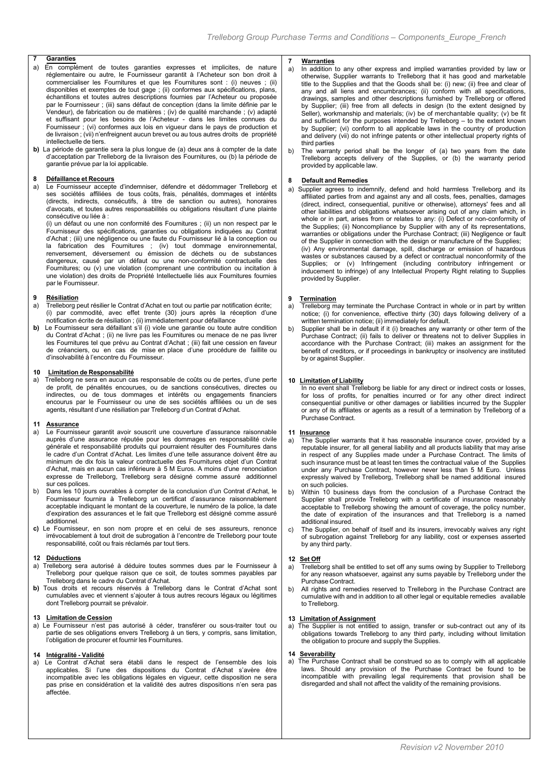## **7 Garanties**

- a) En complément de toutes garanties expresses et implicites, de nature réglementaire ou autre, le Fournisseur garantit à l'Acheteur son bon droit à commercialiser les Fournitures et que les Fournitures sont : (i) neuves ; (ii) disponibles et exemptes de tout gage ; (ii) conformes aux spécifications, plans, échantillons et toutes autres descriptions fournies par l'Acheteur ou proposée par le Fournisseur ; (iii) sans défaut de conception (dans la limite définie par le Vendeur), de fabrication ou de matières ; (iv) de qualité marchande ; (v) adapté et suffisant pour les besoins de l'Acheteur - dans les limites connues du Fournisseur ; (vi) conformes aux lois en vigueur dans le pays de production et de livraison ; (vii) n'enfreignent aucun brevet ou au tous autres droits de propriété intellectuelle de tiers.
- **b)** La période de garantie sera la plus longue de (a) deux ans à compter de la date d'acceptation par Trelleborg de la livraison des Fournitures, ou (b) la période de garantie prévue par la loi applicable.

# **8 Défaillance et Recours**

Le Fournisseur accepte d'indemniser, défendre et dédommager Trelleborg et ses sociétés affiliées de tous coûts, frais, pénalités, dommages et intérêts (directs, indirects, consécutifs, à titre de sanction ou autres), honoraires d'avocats, et toutes autres responsabilités ou obligations résultant d'une plainte consécutive ou liée à :

(i) un défaut ou une non conformité des Fournitures ; (ii) un non respect par le Fournisseur des spécifications, garanties ou obligations indiquées au Contrat d'Achat ; (iii) une négligence ou une faute du Fournisseur lié à la conception ou la fabrication des Fournitures ; (iv) tout dommage environnemental, renversement, déversement ou émission de déchets ou de substances dangereux, causé par un défaut ou une non-conformité contractuelle des Fournitures; ou (v) une violation (comprenant une contribution ou incitation à une violation) des droits de Propriété Intellectuelle liés aux Fournitures fournies par le Fournisseur.

### **9 Résiliation**

- a) Trelleborg peut résilier le Contrat d'Achat en tout ou partie par notification écrite; (i) par commodité, avec effet trente (30) jours après la réception d'une notification écrite de résiliation ; (ii) immédiatement pour défaillance
- **b)** Le Fournisseur sera défaillant s'il (i) viole une garantie ou toute autre condition du Contrat d'Achat ; (ii) ne livre pas les Fournitures ou menace de ne pas livrer les Fournitures tel que prévu au Contrat d'Achat ; (iii) fait une cession en faveur de créanciers, ou en cas de mise en place d'une procédure de faillite ou d'insolvabilité à l'encontre du Fournisseur.

#### **10 Limitation de Responsabilité**

a) Trelleborg ne sera en aucun cas responsable de coûts ou de pertes, d'une perte de profit, de pénalités encourues, ou de sanctions consécutives, directes ou indirectes, ou de tous dommages et intérêts ou engagements financiers encourus par le Fournisseur ou une de ses sociétés affiliées ou un de ses agents, résultant d'une résiliation par Trelleborg d'un Contrat d'Achat.

#### **11 Assurance**

- a) Le Fournisseur garantit avoir souscrit une couverture d'assurance raisonnable auprès d'une assurance réputée pour les dommages en responsabilité civile générale et responsabilité produits qui pourraient résulter des Fournitures dans le cadre d'un Contrat d'Achat. Les limites d'une telle assurance doivent être au minimum de dix fois la valeur contractuelle des Fournitures objet d'un Contrat d'Achat, mais en aucun cas inférieure à 5 M Euros. A moins d'une renonciation expresse de Trelleborg, Trelleborg sera désigné comme assuré additionnel sur ces polices.
- b) Dans les 10 jours ouvrables à compter de la conclusion d'un Contrat d'Achat, le Fournisseur fournira à Trelleborg un certificat d'assurance raisonnablement acceptable indiquant le montant de la couverture, le numéro de la police, la date d'expiration des assurances et le fait que Trelleborg est désigné comme assuré additionnel.
- **c)** Le Fournisseur, en son nom propre et en celui de ses assureurs, renonce irrévocablement à tout droit de subrogation à l'encontre de Trelleborg pour toute responsabilité, coût ou frais réclamés par tout tiers.

#### **12 Déductions**

- a) Trelleborg sera autorisé à déduire toutes sommes dues par le Fournisseur à Trelleborg pour quelque raison que ce soit, de toutes sommes payables par Trelleborg dans le cadre du Contrat d'Achat.
- **b)** Tous droits et recours réservés à Trelleborg dans le Contrat d'Achat sont cumulables avec et viennent s'ajouter à tous autres recours légaux ou légitimes dont Trelleborg pourrait se prévaloir.

### **13 Limitation de Cession**

a) Le Fournisseur n'est pas autorisé à céder, transférer ou sous-traiter tout ou partie de ses obligations envers Trelleborg à un tiers, y compris, sans limitation, l'obligation de procurer et fournir les Fournitures.

## **14 Intégralité - Validité**

a) Le Contrat d'Achat sera établi dans le respect de l'ensemble des lois applicables. Si l'une des dispositions du Contrat d'Achat s'avère être incompatible avec les obligations légales en vigueur, cette disposition ne sera pas prise en considération et la validité des autres dispositions n'en sera pas affectée.

### **7 Warranties**

- a) In addition to any other express and implied warranties provided by law or otherwise, Supplier warrants to Trelleborg that it has good and marketable title to the Supplies and that the Goods shall be: (i) new; (ii) free and clear of any and all liens and encumbrances; (ii) conform with all specifications, drawings, samples and other descriptions furnished by Trelleborg or offered by Supplier; (iii) free from all defects in design (to the extent designed by Seller), workmanship and materials; (iv) be of merchantable quality; (v) be fit and sufficient for the purposes intended by Trelleborg – to the extent known by Supplier; (vi) conform to all applicable laws in the country of production and delivery (vii) do not infringe patents or other intellectual property rights of third parties
- b) The warranty period shall be the longer of (a) two years from the date Trelleborg accepts delivery of the Supplies, or (b) the warranty period provided by applicable law.

### **8 Default and Remedies**

Supplier agrees to indemnify, defend and hold harmless Trelleborg and its affiliated parties from and against any and all costs, fees, penalties, damages (direct, indirect, consequential, punitive or otherwise), attorneys' fees and all other liabilities and obligations whatsoever arising out of any claim which, in whole or in part, arises from or relates to any: (i) Defect or non-conformity of the Supplies; (ii) Noncompliance by Supplier with any of its representations, warranties or obligations under the Purchase Contract; (iii) Negligence or fault of the Supplier in connection with the design or manufacture of the Supplies; (iv) Any environmental damage, spill, discharge or emission of hazardous wastes or substances caused by a defect or contractual nonconformity of the Supplies; or (v) Infringement (including contributory infringement or inducement to infringe) of any Intellectual Property Right relating to Supplies provided by Supplier.

# **9 Termination**<br>a) **Trelleborg** m

- Trelleborg may terminate the Purchase Contract in whole or in part by written notice; (i) for convenience, effective thirty (30) days following delivery of a written termination notice; (ii) immediately for default.
- b) Supplier shall be in default if it (i) breaches any warranty or other term of the Purchase Contract; (ii) fails to deliver or threatens not to deliver Supplies in accordance with the Purchase Contract; (iii) makes an assignment for the benefit of creditors, or if proceedings in bankruptcy or insolvency are instituted by or against Supplier.

## **10 Limitation of Liability**

In no event shall Trelleborg be liable for any direct or indirect costs or losses, for loss of profits, for penalties incurred or for any other direct indirect consequential punitive or other damages or liabilities incurred by the Suppler or any of its affiliates or agents as a result of a termination by Trelleborg of a Purchase Contract.

# **11 Insurance**

- The Supplier warrants that it has reasonable insurance cover, provided by a reputable insurer, for all general liability and all products liability that may arise in respect of any Supplies made under a Purchase Contract. The limits of such insurance must be at least ten times the contractual value of the Supplies under any Purchase Contract, however never less than 5 M Euro. Unless expressly waived by Trelleborg, Trelleborg shall be named additional insured on such policies.
- b) Within 10 business days from the conclusion of a Purchase Contract the Supplier shall provide Trelleborg with a certificate of insurance reasonably acceptable to Trelleborg showing the amount of coverage, the policy number, the date of expiration of the insurances and that Trelleborg is a named additional insured.
- c) The Supplier, on behalf of itself and its insurers, irrevocably waives any right of subrogation against Trelleborg for any liability, cost or expenses asserted by any third party.

#### **12 Set Off**

- a) Trelleborg shall be entitled to set off any sums owing by Supplier to Trelleborg for any reason whatsoever, against any sums payable by Trelleborg under the Purchase Contract.
- b) All rights and remedies reserved to Trelleborg in the Purchase Contract are cumulative with and in addition to all other legal or equitable remedies available to Trelleborg.

### **13 Limitation of Assignment**

a) The Supplier is not entitled to assign, transfer or sub-contract out any of its obligations towards Trelleborg to any third party, including without limitation the obligation to procure and supply the Supplies.

# **14 Severability**

The Purchase Contract shall be construed so as to comply with all applicable laws. Should any provision of the Purchase Contract be found to be incompatible with prevailing legal requirements that provision shall be disregarded and shall not affect the validity of the remaining provisions.